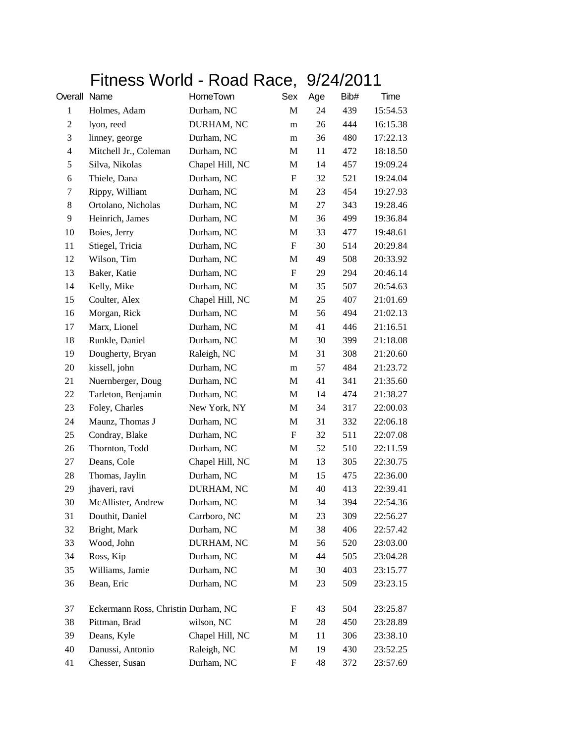## Fitness World - Road Race, 9/24/2011

| Overall Name   |                                     | HomeTown        | Sex | Age | Bib# | Time     |
|----------------|-------------------------------------|-----------------|-----|-----|------|----------|
| $\mathbf{1}$   | Holmes, Adam                        | Durham, NC      | M   | 24  | 439  | 15:54.53 |
| $\overline{c}$ | lyon, reed                          | DURHAM, NC      | m   | 26  | 444  | 16:15.38 |
| 3              | linney, george                      | Durham, NC      | m   | 36  | 480  | 17:22.13 |
| $\overline{4}$ | Mitchell Jr., Coleman               | Durham, NC      | М   | 11  | 472  | 18:18.50 |
| 5              | Silva, Nikolas                      | Chapel Hill, NC | M   | 14  | 457  | 19:09.24 |
| 6              | Thiele, Dana                        | Durham, NC      | F   | 32  | 521  | 19:24.04 |
| 7              | Rippy, William                      | Durham, NC      | M   | 23  | 454  | 19:27.93 |
| 8              | Ortolano, Nicholas                  | Durham, NC      | M   | 27  | 343  | 19:28.46 |
| 9              | Heinrich, James                     | Durham, NC      | M   | 36  | 499  | 19:36.84 |
| 10             | Boies, Jerry                        | Durham, NC      | M   | 33  | 477  | 19:48.61 |
| 11             | Stiegel, Tricia                     | Durham, NC      | F   | 30  | 514  | 20:29.84 |
| 12             | Wilson, Tim                         | Durham, NC      | M   | 49  | 508  | 20:33.92 |
| 13             | Baker, Katie                        | Durham, NC      | F   | 29  | 294  | 20:46.14 |
| 14             | Kelly, Mike                         | Durham, NC      | M   | 35  | 507  | 20:54.63 |
| 15             | Coulter, Alex                       | Chapel Hill, NC | M   | 25  | 407  | 21:01.69 |
| 16             | Morgan, Rick                        | Durham, NC      | M   | 56  | 494  | 21:02.13 |
| 17             | Marx, Lionel                        | Durham, NC      | M   | 41  | 446  | 21:16.51 |
| 18             | Runkle, Daniel                      | Durham, NC      | M   | 30  | 399  | 21:18.08 |
| 19             | Dougherty, Bryan                    | Raleigh, NC     | M   | 31  | 308  | 21:20.60 |
| 20             | kissell, john                       | Durham, NC      | m   | 57  | 484  | 21:23.72 |
| 21             | Nuernberger, Doug                   | Durham, NC      | M   | 41  | 341  | 21:35.60 |
| 22             | Tarleton, Benjamin                  | Durham, NC      | M   | 14  | 474  | 21:38.27 |
| 23             | Foley, Charles                      | New York, NY    | M   | 34  | 317  | 22:00.03 |
| 24             | Maunz, Thomas J                     | Durham, NC      | М   | 31  | 332  | 22:06.18 |
| 25             | Condray, Blake                      | Durham, NC      | F   | 32  | 511  | 22:07.08 |
| 26             | Thornton, Todd                      | Durham, NC      | M   | 52  | 510  | 22:11.59 |
| 27             | Deans, Cole                         | Chapel Hill, NC | M   | 13  | 305  | 22:30.75 |
| 28             | Thomas, Jaylin                      | Durham, NC      | M   | 15  | 475  | 22:36.00 |
| 29             | jhaveri, ravi                       | DURHAM, NC      | М   | 40  | 413  | 22:39.41 |
| 30             | McAllister, Andrew                  | Durham, NC      | M   | 34  | 394  | 22:54.36 |
| 31             | Douthit, Daniel                     | Carrboro, NC    | M   | 23  | 309  | 22:56.27 |
| 32             | Bright, Mark                        | Durham, NC      | M   | 38  | 406  | 22:57.42 |
| 33             | Wood, John                          | DURHAM, NC      | M   | 56  | 520  | 23:03.00 |
| 34             | Ross, Kip                           | Durham, NC      | M   | 44  | 505  | 23:04.28 |
| 35             | Williams, Jamie                     | Durham, NC      | M   | 30  | 403  | 23:15.77 |
| 36             | Bean, Eric                          | Durham, NC      | M   | 23  | 509  | 23:23.15 |
| 37             | Eckermann Ross, Christin Durham, NC |                 | F   | 43  | 504  | 23:25.87 |
| 38             | Pittman, Brad                       | wilson, NC      | M   | 28  | 450  | 23:28.89 |
| 39             | Deans, Kyle                         | Chapel Hill, NC | M   | 11  | 306  | 23:38.10 |
| 40             | Danussi, Antonio                    | Raleigh, NC     | М   | 19  | 430  | 23:52.25 |
| 41             | Chesser, Susan                      | Durham, NC      | F   | 48  | 372  | 23:57.69 |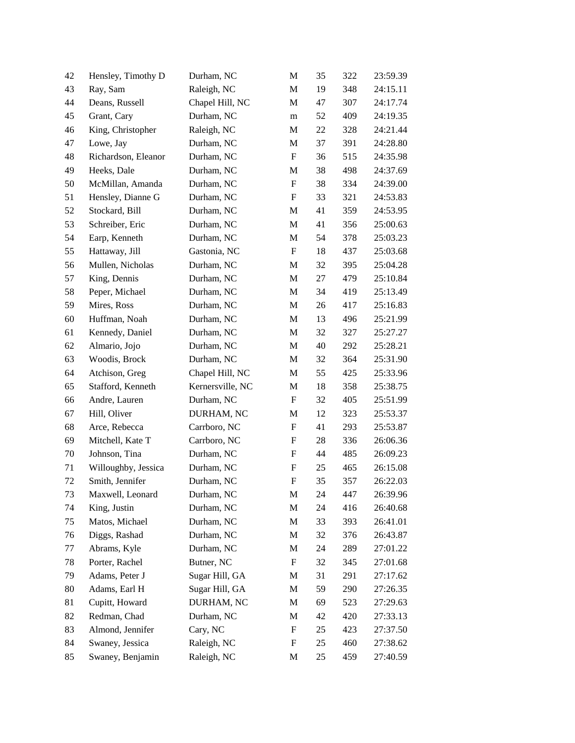| 42 | Hensley, Timothy D  | Durham, NC       | M                | 35 | 322 | 23:59.39 |
|----|---------------------|------------------|------------------|----|-----|----------|
| 43 | Ray, Sam            | Raleigh, NC      | M                | 19 | 348 | 24:15.11 |
| 44 | Deans, Russell      | Chapel Hill, NC  | M                | 47 | 307 | 24:17.74 |
| 45 | Grant, Cary         | Durham, NC       | m                | 52 | 409 | 24:19.35 |
| 46 | King, Christopher   | Raleigh, NC      | M                | 22 | 328 | 24:21.44 |
| 47 | Lowe, Jay           | Durham, NC       | M                | 37 | 391 | 24:28.80 |
| 48 | Richardson, Eleanor | Durham, NC       | F                | 36 | 515 | 24:35.98 |
| 49 | Heeks, Dale         | Durham, NC       | M                | 38 | 498 | 24:37.69 |
| 50 | McMillan, Amanda    | Durham, NC       | F                | 38 | 334 | 24:39.00 |
| 51 | Hensley, Dianne G   | Durham, NC       | F                | 33 | 321 | 24:53.83 |
| 52 | Stockard, Bill      | Durham, NC       | $\mathbf{M}$     | 41 | 359 | 24:53.95 |
| 53 | Schreiber, Eric     | Durham, NC       | M                | 41 | 356 | 25:00.63 |
| 54 | Earp, Kenneth       | Durham, NC       | M                | 54 | 378 | 25:03.23 |
| 55 | Hattaway, Jill      | Gastonia, NC     | $\boldsymbol{F}$ | 18 | 437 | 25:03.68 |
| 56 | Mullen, Nicholas    | Durham, NC       | M                | 32 | 395 | 25:04.28 |
| 57 | King, Dennis        | Durham, NC       | M                | 27 | 479 | 25:10.84 |
| 58 | Peper, Michael      | Durham, NC       | M                | 34 | 419 | 25:13.49 |
| 59 | Mires, Ross         | Durham, NC       | M                | 26 | 417 | 25:16.83 |
| 60 | Huffman, Noah       | Durham, NC       | M                | 13 | 496 | 25:21.99 |
| 61 | Kennedy, Daniel     | Durham, NC       | M                | 32 | 327 | 25:27.27 |
| 62 | Almario, Jojo       | Durham, NC       | M                | 40 | 292 | 25:28.21 |
| 63 | Woodis, Brock       | Durham, NC       | M                | 32 | 364 | 25:31.90 |
| 64 | Atchison, Greg      | Chapel Hill, NC  | M                | 55 | 425 | 25:33.96 |
| 65 | Stafford, Kenneth   | Kernersville, NC | M                | 18 | 358 | 25:38.75 |
| 66 | Andre, Lauren       | Durham, NC       | F                | 32 | 405 | 25:51.99 |
| 67 | Hill, Oliver        | DURHAM, NC       | M                | 12 | 323 | 25:53.37 |
| 68 | Arce, Rebecca       | Carrboro, NC     | F                | 41 | 293 | 25:53.87 |
| 69 | Mitchell, Kate T    | Carrboro, NC     | F                | 28 | 336 | 26:06.36 |
| 70 | Johnson, Tina       | Durham, NC       | F                | 44 | 485 | 26:09.23 |
| 71 | Willoughby, Jessica | Durham, NC       | F                | 25 | 465 | 26:15.08 |
| 72 | Smith, Jennifer     | Durham, NC       | F                | 35 | 357 | 26:22.03 |
| 73 | Maxwell, Leonard    | Durham, NC       | M                | 24 | 447 | 26:39.96 |
| 74 | King, Justin        | Durham, NC       | $\mathbf M$      | 24 | 416 | 26:40.68 |
| 75 | Matos, Michael      | Durham, NC       | M                | 33 | 393 | 26:41.01 |
| 76 | Diggs, Rashad       | Durham, NC       | M                | 32 | 376 | 26:43.87 |
| 77 | Abrams, Kyle        | Durham, NC       | M                | 24 | 289 | 27:01.22 |
| 78 | Porter, Rachel      | Butner, NC       | F                | 32 | 345 | 27:01.68 |
| 79 | Adams, Peter J      | Sugar Hill, GA   | M                | 31 | 291 | 27:17.62 |
| 80 | Adams, Earl H       | Sugar Hill, GA   | M                | 59 | 290 | 27:26.35 |
| 81 | Cupitt, Howard      | DURHAM, NC       | M                | 69 | 523 | 27:29.63 |
| 82 | Redman, Chad        | Durham, NC       | M                | 42 | 420 | 27:33.13 |
| 83 | Almond, Jennifer    | Cary, NC         | F                | 25 | 423 | 27:37.50 |
| 84 | Swaney, Jessica     | Raleigh, NC      | F                | 25 | 460 | 27:38.62 |
| 85 | Swaney, Benjamin    | Raleigh, NC      | M                | 25 | 459 | 27:40.59 |
|    |                     |                  |                  |    |     |          |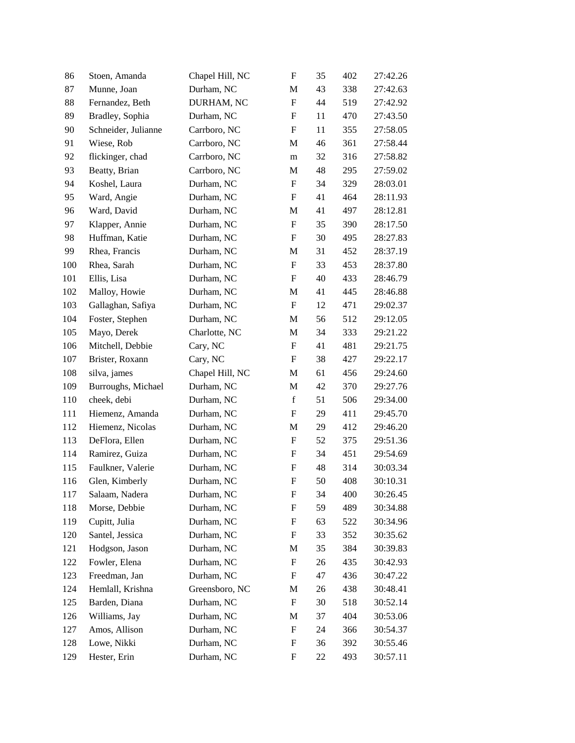| 86  | Stoen, Amanda       | Chapel Hill, NC | $\boldsymbol{\mathrm{F}}$ | 35 | 402 | 27:42.26 |
|-----|---------------------|-----------------|---------------------------|----|-----|----------|
| 87  | Munne, Joan         | Durham, NC      | M                         | 43 | 338 | 27:42.63 |
| 88  | Fernandez, Beth     | DURHAM, NC      | $\boldsymbol{\mathrm{F}}$ | 44 | 519 | 27:42.92 |
| 89  | Bradley, Sophia     | Durham, NC      | F                         | 11 | 470 | 27:43.50 |
| 90  | Schneider, Julianne | Carrboro, NC    | F                         | 11 | 355 | 27:58.05 |
| 91  | Wiese, Rob          | Carrboro, NC    | $\mathbf{M}$              | 46 | 361 | 27:58.44 |
| 92  | flickinger, chad    | Carrboro, NC    | m                         | 32 | 316 | 27:58.82 |
| 93  | Beatty, Brian       | Carrboro, NC    | M                         | 48 | 295 | 27:59.02 |
| 94  | Koshel, Laura       | Durham, NC      | F                         | 34 | 329 | 28:03.01 |
| 95  | Ward, Angie         | Durham, NC      | F                         | 41 | 464 | 28:11.93 |
| 96  | Ward, David         | Durham, NC      | M                         | 41 | 497 | 28:12.81 |
| 97  | Klapper, Annie      | Durham, NC      | F                         | 35 | 390 | 28:17.50 |
| 98  | Huffman, Katie      | Durham, NC      | F                         | 30 | 495 | 28:27.83 |
| 99  | Rhea, Francis       | Durham, NC      | M                         | 31 | 452 | 28:37.19 |
| 100 | Rhea, Sarah         | Durham, NC      | F                         | 33 | 453 | 28:37.80 |
| 101 | Ellis, Lisa         | Durham, NC      | F                         | 40 | 433 | 28:46.79 |
| 102 | Malloy, Howie       | Durham, NC      | M                         | 41 | 445 | 28:46.88 |
| 103 | Gallaghan, Safiya   | Durham, NC      | $\boldsymbol{\mathrm{F}}$ | 12 | 471 | 29:02.37 |
| 104 | Foster, Stephen     | Durham, NC      | M                         | 56 | 512 | 29:12.05 |
| 105 | Mayo, Derek         | Charlotte, NC   | M                         | 34 | 333 | 29:21.22 |
| 106 | Mitchell, Debbie    | Cary, NC        | $\boldsymbol{\mathrm{F}}$ | 41 | 481 | 29:21.75 |
| 107 | Brister, Roxann     | Cary, NC        | F                         | 38 | 427 | 29:22.17 |
| 108 | silva, james        | Chapel Hill, NC | M                         | 61 | 456 | 29:24.60 |
| 109 | Burroughs, Michael  | Durham, NC      | M                         | 42 | 370 | 29:27.76 |
| 110 | cheek, debi         | Durham, NC      | $\mathbf f$               | 51 | 506 | 29:34.00 |
| 111 | Hiemenz, Amanda     | Durham, NC      | $\boldsymbol{\mathrm{F}}$ | 29 | 411 | 29:45.70 |
| 112 | Hiemenz, Nicolas    | Durham, NC      | M                         | 29 | 412 | 29:46.20 |
| 113 | DeFlora, Ellen      | Durham, NC      | F                         | 52 | 375 | 29:51.36 |
| 114 | Ramirez, Guiza      | Durham, NC      | F                         | 34 | 451 | 29:54.69 |
| 115 | Faulkner, Valerie   | Durham, NC      | F                         | 48 | 314 | 30:03.34 |
| 116 | Glen, Kimberly      | Durham, NC      | $\mathbf F$               | 50 | 408 | 30:10.31 |
| 117 | Salaam, Nadera      | Durham, NC      | F                         | 34 | 400 | 30:26.45 |
| 118 | Morse, Debbie       | Durham, NC      | F                         | 59 | 489 | 30:34.88 |
| 119 | Cupitt, Julia       | Durham, NC      | F                         | 63 | 522 | 30:34.96 |
| 120 | Santel, Jessica     | Durham, NC      | F                         | 33 | 352 | 30:35.62 |
| 121 | Hodgson, Jason      | Durham, NC      | M                         | 35 | 384 | 30:39.83 |
| 122 | Fowler, Elena       | Durham, NC      | F                         | 26 | 435 | 30:42.93 |
| 123 | Freedman, Jan       | Durham, NC      | F                         | 47 | 436 | 30:47.22 |
| 124 | Hemlall, Krishna    | Greensboro, NC  | M                         | 26 | 438 | 30:48.41 |
| 125 | Barden, Diana       | Durham, NC      | F                         | 30 | 518 | 30:52.14 |
| 126 | Williams, Jay       | Durham, NC      | M                         | 37 | 404 | 30:53.06 |
| 127 | Amos, Allison       | Durham, NC      | F                         | 24 | 366 | 30:54.37 |
| 128 | Lowe, Nikki         | Durham, NC      | F                         | 36 | 392 | 30:55.46 |
| 129 | Hester, Erin        | Durham, NC      | F                         | 22 | 493 | 30:57.11 |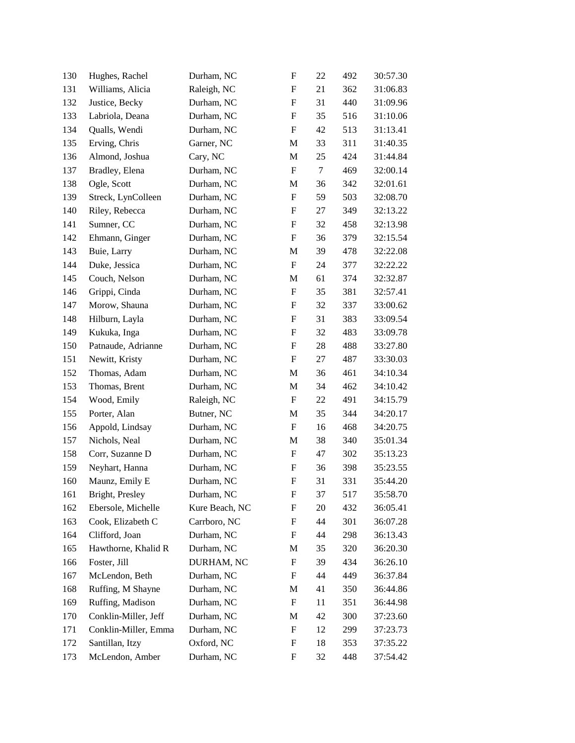| 130 | Hughes, Rachel       | Durham, NC     | F                         | 22     | 492 | 30:57.30 |
|-----|----------------------|----------------|---------------------------|--------|-----|----------|
| 131 | Williams, Alicia     | Raleigh, NC    | F                         | 21     | 362 | 31:06.83 |
| 132 | Justice, Becky       | Durham, NC     | F                         | 31     | 440 | 31:09.96 |
| 133 | Labriola, Deana      | Durham, NC     | F                         | 35     | 516 | 31:10.06 |
| 134 | Qualls, Wendi        | Durham, NC     | F                         | 42     | 513 | 31:13.41 |
| 135 | Erving, Chris        | Garner, NC     | M                         | 33     | 311 | 31:40.35 |
| 136 | Almond, Joshua       | Cary, NC       | M                         | 25     | 424 | 31:44.84 |
| 137 | Bradley, Elena       | Durham, NC     | F                         | $\tau$ | 469 | 32:00.14 |
| 138 | Ogle, Scott          | Durham, NC     | M                         | 36     | 342 | 32:01.61 |
| 139 | Streck, LynColleen   | Durham, NC     | F                         | 59     | 503 | 32:08.70 |
| 140 | Riley, Rebecca       | Durham, NC     | F                         | 27     | 349 | 32:13.22 |
| 141 | Sumner, CC           | Durham, NC     | F                         | 32     | 458 | 32:13.98 |
| 142 | Ehmann, Ginger       | Durham, NC     | F                         | 36     | 379 | 32:15.54 |
| 143 | Buie, Larry          | Durham, NC     | M                         | 39     | 478 | 32:22.08 |
| 144 | Duke, Jessica        | Durham, NC     | F                         | 24     | 377 | 32:22.22 |
| 145 | Couch, Nelson        | Durham, NC     | M                         | 61     | 374 | 32:32.87 |
| 146 | Grippi, Cinda        | Durham, NC     | F                         | 35     | 381 | 32:57.41 |
| 147 | Morow, Shauna        | Durham, NC     | F                         | 32     | 337 | 33:00.62 |
| 148 | Hilburn, Layla       | Durham, NC     | F                         | 31     | 383 | 33:09.54 |
| 149 | Kukuka, Inga         | Durham, NC     | F                         | 32     | 483 | 33:09.78 |
| 150 | Patnaude, Adrianne   | Durham, NC     | F                         | 28     | 488 | 33:27.80 |
| 151 | Newitt, Kristy       | Durham, NC     | F                         | 27     | 487 | 33:30.03 |
| 152 | Thomas, Adam         | Durham, NC     | M                         | 36     | 461 | 34:10.34 |
| 153 | Thomas, Brent        | Durham, NC     | M                         | 34     | 462 | 34:10.42 |
| 154 | Wood, Emily          | Raleigh, NC    | $\boldsymbol{F}$          | 22     | 491 | 34:15.79 |
| 155 | Porter, Alan         | Butner, NC     | M                         | 35     | 344 | 34:20.17 |
| 156 | Appold, Lindsay      | Durham, NC     | F                         | 16     | 468 | 34:20.75 |
| 157 | Nichols, Neal        | Durham, NC     | M                         | 38     | 340 | 35:01.34 |
| 158 | Corr, Suzanne D      | Durham, NC     | F                         | 47     | 302 | 35:13.23 |
| 159 | Neyhart, Hanna       | Durham, NC     | F                         | 36     | 398 | 35:23.55 |
| 160 | Maunz, Emily E       | Durham, NC     | $\boldsymbol{\mathrm{F}}$ | 31     | 331 | 35:44.20 |
| 161 | Bright, Presley      | Durham, NC     | F                         | 37     | 517 | 35:58.70 |
| 162 | Ebersole, Michelle   | Kure Beach, NC | F                         | 20     | 432 | 36:05.41 |
| 163 | Cook, Elizabeth C    | Carrboro, NC   | F                         | 44     | 301 | 36:07.28 |
| 164 | Clifford, Joan       | Durham, NC     | F                         | 44     | 298 | 36:13.43 |
| 165 | Hawthorne, Khalid R  | Durham, NC     | M                         | 35     | 320 | 36:20.30 |
| 166 | Foster, Jill         | DURHAM, NC     | F                         | 39     | 434 | 36:26.10 |
| 167 | McLendon, Beth       | Durham, NC     | F                         | 44     | 449 | 36:37.84 |
| 168 | Ruffing, M Shayne    | Durham, NC     | M                         | 41     | 350 | 36:44.86 |
| 169 | Ruffing, Madison     | Durham, NC     | F                         | 11     | 351 | 36:44.98 |
| 170 | Conklin-Miller, Jeff | Durham, NC     | M                         | 42     | 300 | 37:23.60 |
| 171 | Conklin-Miller, Emma | Durham, NC     | F                         | 12     | 299 | 37:23.73 |
| 172 | Santillan, Itzy      | Oxford, NC     | F                         | 18     | 353 | 37:35.22 |
| 173 | McLendon, Amber      | Durham, NC     | F                         | 32     | 448 | 37:54.42 |